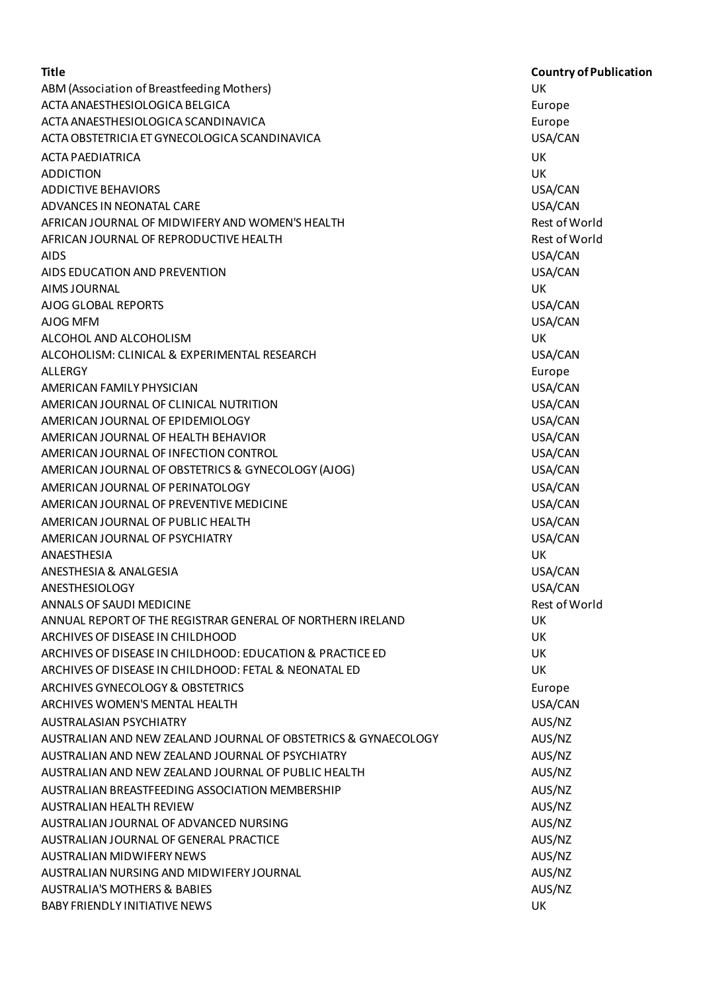| <b>Title</b>                                                   | <b>Country of Publication</b> |
|----------------------------------------------------------------|-------------------------------|
| ABM (Association of Breastfeeding Mothers)                     | UK                            |
| ACTA ANAESTHESIOLOGICA BELGICA                                 | Europe                        |
| ACTA ANAESTHESIOLOGICA SCANDINAVICA                            | Europe                        |
| ACTA OBSTETRICIA ET GYNECOLOGICA SCANDINAVICA                  | USA/CAN                       |
| <b>ACTA PAEDIATRICA</b>                                        | UK                            |
| <b>ADDICTION</b>                                               | <b>UK</b>                     |
| <b>ADDICTIVE BEHAVIORS</b>                                     | USA/CAN                       |
| ADVANCES IN NEONATAL CARE                                      | USA/CAN                       |
| AFRICAN JOURNAL OF MIDWIFERY AND WOMEN'S HEALTH                | Rest of World                 |
| AFRICAN JOURNAL OF REPRODUCTIVE HEALTH                         | Rest of World                 |
| <b>AIDS</b>                                                    | USA/CAN                       |
| AIDS EDUCATION AND PREVENTION                                  | USA/CAN                       |
| AIMS JOURNAL                                                   | UK                            |
| AJOG GLOBAL REPORTS                                            | USA/CAN                       |
| AJOG MFM                                                       | USA/CAN                       |
| ALCOHOL AND ALCOHOLISM                                         | UK                            |
| ALCOHOLISM: CLINICAL & EXPERIMENTAL RESEARCH                   | USA/CAN                       |
| ALLERGY                                                        | Europe                        |
| AMERICAN FAMILY PHYSICIAN                                      | USA/CAN                       |
| AMERICAN JOURNAL OF CLINICAL NUTRITION                         | USA/CAN                       |
| AMERICAN JOURNAL OF EPIDEMIOLOGY                               | USA/CAN                       |
| AMERICAN JOURNAL OF HEALTH BEHAVIOR                            | USA/CAN                       |
| AMERICAN JOURNAL OF INFECTION CONTROL                          | USA/CAN                       |
| AMERICAN JOURNAL OF OBSTETRICS & GYNECOLOGY (AJOG)             | USA/CAN                       |
| AMERICAN JOURNAL OF PERINATOLOGY                               | USA/CAN                       |
| AMERICAN JOURNAL OF PREVENTIVE MEDICINE                        | USA/CAN                       |
| AMERICAN JOURNAL OF PUBLIC HEALTH                              | USA/CAN                       |
| AMERICAN JOURNAL OF PSYCHIATRY                                 | USA/CAN                       |
| ANAESTHESIA                                                    | UK                            |
| ANESTHESIA & ANALGESIA                                         | USA/CAN                       |
| ANESTHESIOLOGY                                                 | USA/CAN                       |
| ANNALS OF SAUDI MEDICINE                                       | Rest of World                 |
| ANNUAL REPORT OF THE REGISTRAR GENERAL OF NORTHERN IRELAND     | UK                            |
| ARCHIVES OF DISEASE IN CHILDHOOD                               | <b>UK</b>                     |
| ARCHIVES OF DISEASE IN CHILDHOOD: EDUCATION & PRACTICE ED      | UK                            |
| ARCHIVES OF DISEASE IN CHILDHOOD: FETAL & NEONATAL ED          | UK                            |
| ARCHIVES GYNECOLOGY & OBSTETRICS                               | Europe                        |
| ARCHIVES WOMEN'S MENTAL HEALTH                                 | USA/CAN                       |
| <b>AUSTRALASIAN PSYCHIATRY</b>                                 | AUS/NZ                        |
| AUSTRALIAN AND NEW ZEALAND JOURNAL OF OBSTETRICS & GYNAECOLOGY |                               |
|                                                                | AUS/NZ                        |
| AUSTRALIAN AND NEW ZEALAND JOURNAL OF PSYCHIATRY               | AUS/NZ                        |
| AUSTRALIAN AND NEW ZEALAND JOURNAL OF PUBLIC HEALTH            | AUS/NZ                        |
| AUSTRALIAN BREASTFEEDING ASSOCIATION MEMBERSHIP                | AUS/NZ                        |
| AUSTRALIAN HEALTH REVIEW                                       | AUS/NZ                        |
| AUSTRALIAN JOURNAL OF ADVANCED NURSING                         | AUS/NZ                        |
| AUSTRALIAN JOURNAL OF GENERAL PRACTICE                         | AUS/NZ                        |
| <b>AUSTRALIAN MIDWIFERY NEWS</b>                               | AUS/NZ                        |
| AUSTRALIAN NURSING AND MIDWIFERY JOURNAL                       | AUS/NZ                        |
| <b>AUSTRALIA'S MOTHERS &amp; BABIES</b>                        | AUS/NZ                        |
| <b>BABY FRIENDLY INITIATIVE NEWS</b>                           | UK                            |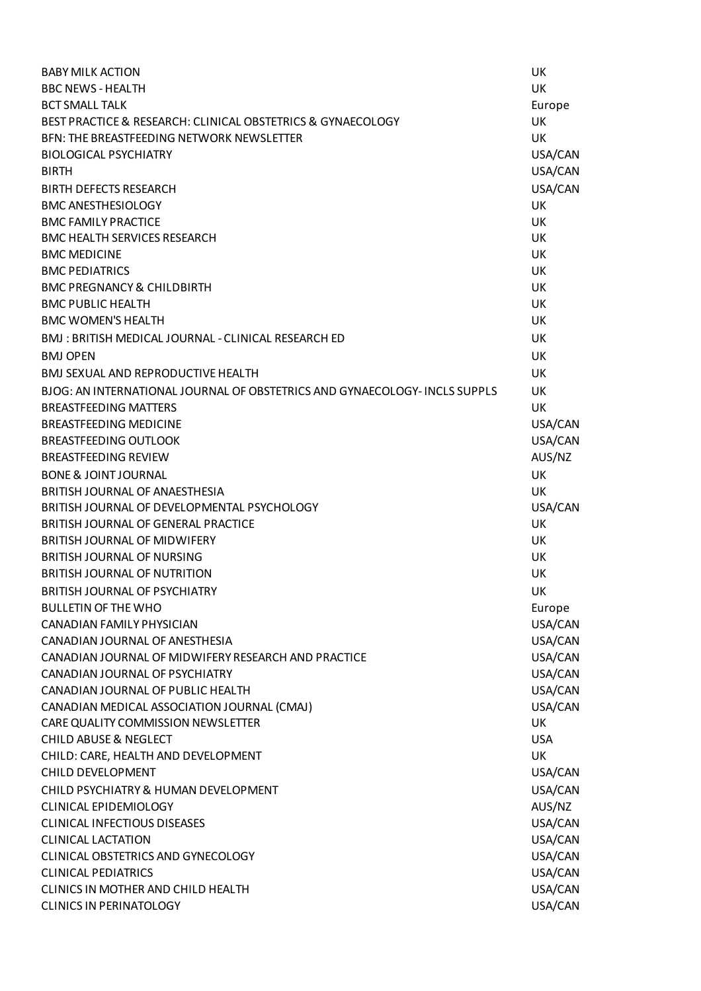| <b>BABY MILK ACTION</b>                                                    | <b>UK</b>  |
|----------------------------------------------------------------------------|------------|
| <b>BBC NEWS - HEALTH</b>                                                   | <b>UK</b>  |
| <b>BCT SMALL TALK</b>                                                      | Europe     |
| BEST PRACTICE & RESEARCH: CLINICAL OBSTETRICS & GYNAECOLOGY                | UK         |
| BFN: THE BREASTFEEDING NETWORK NEWSLETTER                                  | <b>UK</b>  |
| <b>BIOLOGICAL PSYCHIATRY</b>                                               | USA/CAN    |
| <b>BIRTH</b>                                                               | USA/CAN    |
| <b>BIRTH DEFECTS RESEARCH</b>                                              | USA/CAN    |
| <b>BMC ANESTHESIOLOGY</b>                                                  | UK         |
| <b>BMC FAMILY PRACTICE</b>                                                 | UK         |
| <b>BMC HEALTH SERVICES RESEARCH</b>                                        | <b>UK</b>  |
| <b>BMC MEDICINE</b>                                                        | UK         |
| <b>BMC PEDIATRICS</b>                                                      | UK         |
| <b>BMC PREGNANCY &amp; CHILDBIRTH</b>                                      | UK         |
| <b>BMC PUBLIC HEALTH</b>                                                   | UK         |
| <b>BMC WOMEN'S HEALTH</b>                                                  | UK         |
| BMJ: BRITISH MEDICAL JOURNAL - CLINICAL RESEARCH ED                        | UK         |
| <b>BMJ OPEN</b>                                                            | UK         |
| <b>BMJ SEXUAL AND REPRODUCTIVE HEALTH</b>                                  | UK         |
| BJOG: AN INTERNATIONAL JOURNAL OF OBSTETRICS AND GYNAECOLOGY- INCLS SUPPLS | UK         |
| <b>BREASTFEEDING MATTERS</b>                                               | UK         |
| <b>BREASTFEEDING MEDICINE</b>                                              | USA/CAN    |
| <b>BREASTFEEDING OUTLOOK</b>                                               | USA/CAN    |
| <b>BREASTFEEDING REVIEW</b>                                                | AUS/NZ     |
| <b>BONE &amp; JOINT JOURNAL</b>                                            | <b>UK</b>  |
| BRITISH JOURNAL OF ANAESTHESIA                                             | UK         |
| BRITISH JOURNAL OF DEVELOPMENTAL PSYCHOLOGY                                | USA/CAN    |
| BRITISH JOURNAL OF GENERAL PRACTICE                                        | UK         |
| <b>BRITISH JOURNAL OF MIDWIFERY</b>                                        | UK         |
| <b>BRITISH JOURNAL OF NURSING</b>                                          | UK         |
| <b>BRITISH JOURNAL OF NUTRITION</b>                                        | UK         |
| BRITISH JOURNAL OF PSYCHIATRY                                              | UK         |
| <b>BULLETIN OF THE WHO</b>                                                 | Europe     |
| CANADIAN FAMILY PHYSICIAN                                                  | USA/CAN    |
| CANADIAN JOURNAL OF ANESTHESIA                                             | USA/CAN    |
| CANADIAN JOURNAL OF MIDWIFERY RESEARCH AND PRACTICE                        | USA/CAN    |
| CANADIAN JOURNAL OF PSYCHIATRY                                             | USA/CAN    |
| CANADIAN JOURNAL OF PUBLIC HEALTH                                          | USA/CAN    |
| CANADIAN MEDICAL ASSOCIATION JOURNAL (CMAJ)                                | USA/CAN    |
| CARE QUALITY COMMISSION NEWSLETTER                                         | UK         |
| <b>CHILD ABUSE &amp; NEGLECT</b>                                           | <b>USA</b> |
| CHILD: CARE, HEALTH AND DEVELOPMENT                                        | UK         |
| <b>CHILD DEVELOPMENT</b>                                                   | USA/CAN    |
| CHILD PSYCHIATRY & HUMAN DEVELOPMENT                                       | USA/CAN    |
| <b>CLINICAL EPIDEMIOLOGY</b>                                               | AUS/NZ     |
| <b>CLINICAL INFECTIOUS DISEASES</b>                                        | USA/CAN    |
| <b>CLINICAL LACTATION</b>                                                  | USA/CAN    |
| CLINICAL OBSTETRICS AND GYNECOLOGY                                         | USA/CAN    |
| <b>CLINICAL PEDIATRICS</b>                                                 | USA/CAN    |
| CLINICS IN MOTHER AND CHILD HEALTH                                         | USA/CAN    |
| <b>CLINICS IN PERINATOLOGY</b>                                             | USA/CAN    |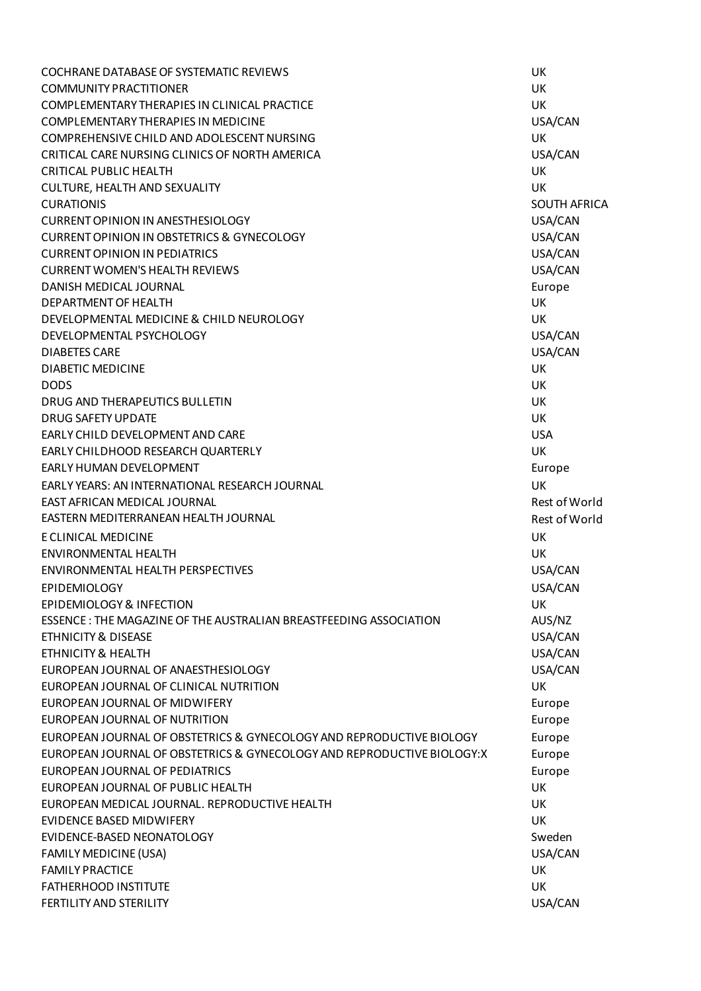COCHRANE DATABASE OF SYSTEMATIC REVIEWS UK COMMUNITY PRACTITIONER UK COMPLEMENTARY THERAPIES IN CLINICAL PRACTICE **Example 1999** UK COMPLEMENTARY THERAPIES IN MEDICINE USA/CAN COMPREHENSIVE CHILD AND ADOLESCENT NURSING UK CRITICAL CARE NURSING CLINICS OF NORTH AMERICA USA/CAN USA/CAN CRITICAL PUBLIC HEALTH UK CULTURE, HEALTH AND SEXUALITY UK CURATIONIS SOUTH AFRICA CURRENT OPINION IN ANESTHESIOLOGY USA/CAN CURRENT OPINION IN OBSTETRICS & GYNECOLOGY USA/CAN CURRENT OPINION IN PEDIATRICS USA/CAN CURRENT WOMEN'S HEALTH REVIEWS USA/CAN DANISH MEDICAL JOURNAL **Europe State And Accord Contract Contract Contract Contract Contract Contract Contract Contract Contract Contract Contract Contract Contract Contract Contract Contract Contract Contract Contract Con** DEPARTMENT OF HEALTH UK DEVELOPMENTAL MEDICINE & CHILD NEUROLOGY UK DEVELOPMENTAL PSYCHOLOGY USA/CAN DIABETES CARE USA/CAN DIABETIC MEDICINE UK DODS UK DRUG AND THERAPEUTICS BULLETIN UK DRUG SAFETY UPDATE THE UK ON THE UK ON THE UK ON THE UK OF THE UK ON THE UK ON THE UK ON THE UK ON THE UK ON THE UK EARLY CHILD DEVELOPMENT AND CARE USA AND THE USA EARLY CHILDHOOD RESEARCH QUARTERLY UK AND THE RESEARCH ON THE RESEARCH ON THE RESEARCH ON THE RESEARCH ON THE R EARLY HUMAN DEVELOPMENT EUROPEAN AND THE SERIES OF THE SERIES OF THE SERIES OF THE SERIES OF THE SERIES OF THE SERIES OF THE SERIES OF THE SERIES OF THE SERIES OF THE SERIES OF THE SERIES OF THE SERIES OF THE SERIES OF THE EARLY YEARS: AN INTERNATIONAL RESEARCH JOURNAL UK EAST AFRICAN MEDICAL JOURNAL Rest of World EASTERN MEDITERRANEAN HEALTH JOURNAL THE REST OF WORLD Rest of World E CLINICAL MEDICINE UK ENVIRONMENTAL HEALTH UK ENVIRONMENTAL HEALTH PERSPECTIVES USA/CAN EPIDEMIOLOGY USA/CAN EPIDEMIOLOGY & INFECTION UK ESSENCE : THE MAGAZINE OF THE AUSTRALIAN BREASTFEEDING ASSOCIATION AUS/NZ ETHNICITY & DISEASE USA/CAN AND THE SERVICE OF THE SERVICE OF THE SERVICE OF THE SERVICE OF THE SERVICE OF THE ETHNICITY & HEALTH USA/CAN EUROPEAN JOURNAL OF ANAESTHESIOLOGY USA/CAN EUROPEAN JOURNAL OF CLINICAL NUTRITION UK EUROPEAN JOURNAL OF MIDWIFERY EUROPEAN AND THE SERVICE OF MIDWIFFERY EUROPEAN AND THE SERVICE OF MIDWIFFERY EUROPEAN JOURNAL OF NUTRITION Europe EUROPEAN JOURNAL OF OBSTETRICS & GYNECOLOGY AND REPRODUCTIVE BIOLOGY Europe EUROPEAN JOURNAL OF OBSTETRICS & GYNECOLOGY AND REPRODUCTIVE BIOLOGY:X Europe EUROPEAN JOURNAL OF PEDIATRICS EUROPEAN JOURNAL OF PEDIATRICS EUROPEAN JOURNAL OF PUBLIC HEALTH THE CONTROL OF A SERIES OF A SERIES OF A SERIES OF A SERIES OF A SERIES OF A EUROPEAN MEDICAL JOURNAL. REPRODUCTIVE HEALTH UK EVIDENCE BASED MIDWIFERY UK EVIDENCE-BASED NEONATOLOGY Sweden FAMILY MEDICINE (USA) USA/CAN FAMILY PRACTICE UK FATHERHOOD INSTITUTE THE UK OF THE UK ON THE UK OF THE UK OF THE UK OF THE UK OF THE UK OF THE UK FERTILITY AND STERILITY **AND STERILITY EXAMPLE 2008**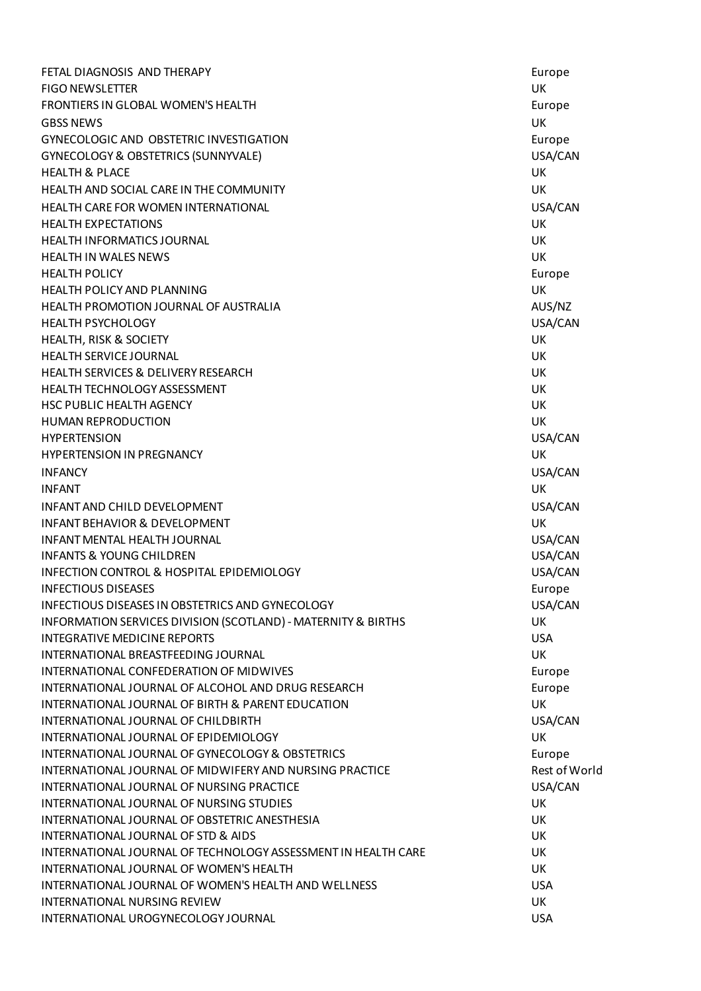**FETAL DIAGNOSIS AND THERAPY EUROPE SETAL DIAGNOSIS AND THERAPY** FIGO NEWSLETTER UK FRONTIERS IN GLOBAL WOMEN'S HEALTH **EUROPE ACCOMMENT OF A SECOND EUROPE ACCOMMENT** Europe GBSS NEWS UK GYNECOLOGIC AND OBSTETRIC INVESTIGATION Europe GYNECOLOGY & OBSTETRICS (SUNNYVALE) USA/CAN HEALTH & PLACE UK HEALTH AND SOCIAL CARE IN THE COMMUNITY **EXAMPLE 20 YO F AND SOCIAL CARE IN THE COMMUNITY** HEALTH CARE FOR WOMEN INTERNATIONAL USA/CAN HEALTH EXPECTATIONS UK HEALTH INFORMATICS JOURNAL UK HEALTH IN WALES NEWS UK HEALTH POLICY Europe HEALTH POLICY AND PLANNING UK HEALTH PROMOTION JOURNAL OF AUSTRALIA AUS/NZ HEALTH PSYCHOLOGY USA/CAN HEALTH, RISK & SOCIETY UK HEALTH SERVICE JOURNAL UK HEALTH SERVICES & DELIVERY RESEARCH UK HEALTH TECHNOLOGY ASSESSMENT UK HSC PUBLIC HEALTH AGENCY UK HUMAN REPRODUCTION UK HYPERTENSION USA/CAN **HYPERTENSION IN PREGNANCY LETTER OF A SET OF A SET OF A SET OF A SET OF A SET OF A SET OF A SET OF A SET OF A SET OF A SET OF A SET OF A SET OF A SET OF A SET OF A SET OF A SET OF A SET OF A SET OF A SET OF A SET OF A SET** INFANCY USA/CAN INFANT UK INFANT AND CHILD DEVELOPMENT THE SECOND OF SECOND ASSAULT AND MUSA CAN USA CAN USE OF SECOND ASSAULT AND RESEARCH **INFANT BEHAVIOR & DEVELOPMENT LEADERS AND LOCAL CONTRACT AND LOCAL CONTRACT CONTRACT AND LOCAL CONTRACT UNITS** INFANT MENTAL HEALTH JOURNAL USA/CAN INFANTS & YOUNG CHILDREN USA/CAN INFECTION CONTROL & HOSPITAL EPIDEMIOLOGY USA/CAN INFECTIOUS DISEASES Europe in the state of the state of the state of the state of the state of the state of the state of the state of the state of the state of the state of the state of the state of the state of the state INFECTIOUS DISEASES IN OBSTETRICS AND GYNECOLOGY USA CAN USA/CAN INFORMATION SERVICES DIVISION (SCOTLAND) - MATERNITY & BIRTHS UK INTEGRATIVE MEDICINE REPORTS USA INTERNATIONAL BREASTFEEDING JOURNAL UK INTERNATIONAL CONFEDERATION OF MIDWIVES **EUROPE ACCESS ENTITLES** Europe INTERNATIONAL JOURNAL OF ALCOHOL AND DRUG RESEARCH EUROPE Europe INTERNATIONAL JOURNAL OF BIRTH & PARENT EDUCATION UK INTERNATIONAL JOURNAL OF CHILDBIRTH THE CONTROL OF CHILDBIRTH THE CONTROL OF CHILDBIRTH **INTERNATIONAL JOURNAL OF EPIDEMIOLOGY UK** INTERNATIONAL JOURNAL OF GYNECOLOGY & OBSTETRICS FOR EUROPE EUROPE INTERNATIONAL JOURNAL OF MIDWIFERY AND NURSING PRACTICE THE Rest of World INTERNATIONAL JOURNAL OF NURSING PRACTICE **Example 2008** 2009 12:34 VISA/CAN INTERNATIONAL JOURNAL OF NURSING STUDIES UK INTERNATIONAL JOURNAL OF OBSTETRIC ANESTHESIA UK INTERNATIONAL JOURNAL OF STD & AIDS UK INTERNATIONAL JOURNAL OF TECHNOLOGY ASSESSMENT IN HEALTH CARE UK UK INTERNATIONAL JOURNAL OF WOMEN'S HEALTH **The CONTROL OF STATE AND THE CONTROL** OK INTERNATIONAL JOURNAL OF WOMEN'S HEALTH AND WELLNESS USA INTERNATIONAL NURSING REVIEW UK INTERNATIONAL UROGYNECOLOGY JOURNAL USA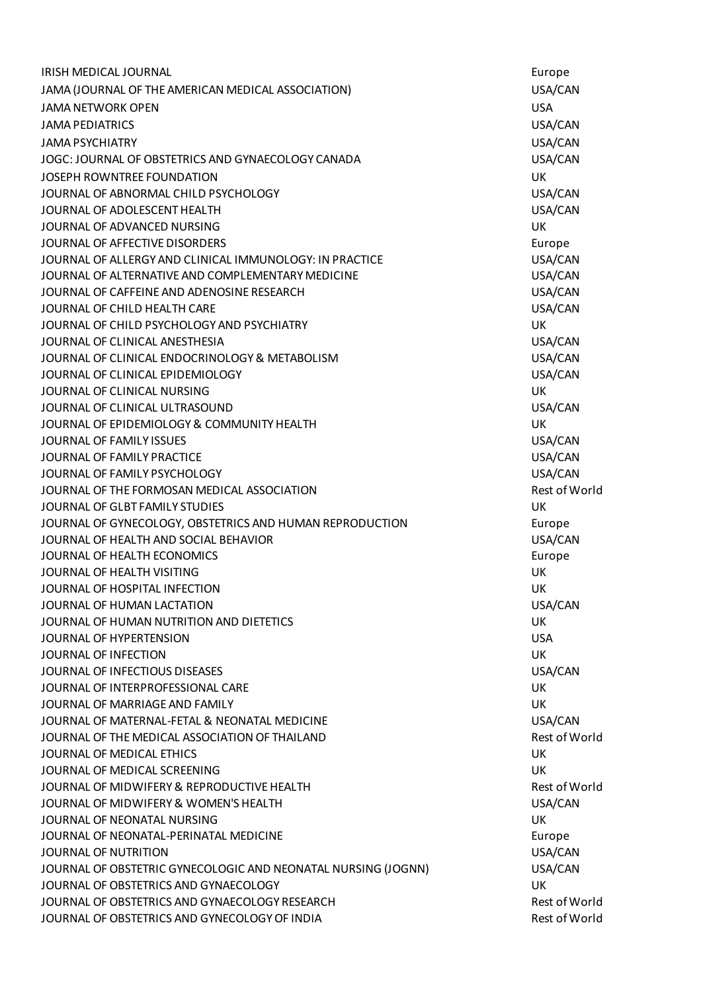IRISH MEDICAL JOURNAL NATURE AND THE SERVICE OF THE SERVICE OF THE SERVICE OF THE SERVICE OF THE SERVICE OF TH JAMA (JOURNAL OF THE AMERICAN MEDICAL ASSOCIATION) USA/CAN JAMA NETWORK OPEN USA JAMA PEDIATRICS USA/CAN JAMA PSYCHIATRY USA/CAN JOGC: JOURNAL OF OBSTETRICS AND GYNAECOLOGY CANADA USA/CAN JOSEPH ROWNTREE FOUNDATION UK JOURNAL OF ABNORMAL CHILD PSYCHOLOGY **USA/CAN** USA/CAN JOURNAL OF ADOLESCENT HEALTH USA/CAN JOURNAL OF ADVANCED NURSING UK AND A SERIES OF A SERIES OF A SERIES OF A SERIES OF A SERIES OF A SERIES OF A S JOURNAL OF AFFECTIVE DISORDERS Europe JOURNAL OF ALLERGY AND CLINICAL IMMUNOLOGY: IN PRACTICE USA/CAN JOURNAL OF ALTERNATIVE AND COMPLEMENTARY MEDICINE THE SAME RESEARCE OF ALTERNATIVE AND COMPLEMENTARY MEDICINE JOURNAL OF CAFFEINE AND ADENOSINE RESEARCH **Example 2008** USA/CAN JOURNAL OF CHILD HEALTH CARE THE STATE OF STATE OF CHILD AND THE STATE OF STATE OF STATE OF STATE OF STATE OF STATE OF STATE OF STATE OF STATE OF STATE OF STATE OF STATE OF STATE OF STATE OF STATE OF STATE OF STATE OF STAT JOURNAL OF CHILD PSYCHOLOGY AND PSYCHIATRY UK JOURNAL OF CLINICAL ANESTHESIA USA/CAN JOURNAL OF CLINICAL ENDOCRINOLOGY & METABOLISM **USA/CAN** JOURNAL OF CLINICAL EPIDEMIOLOGY USA/CAN JOURNAL OF CLINICAL NURSING UK JOURNAL OF CLINICAL ULTRASOUND USA/CAN JOURNAL OF EPIDEMIOLOGY & COMMUNITY HEALTH UK JOURNAL OF FAMILY ISSUES USA/CAN JOURNAL OF FAMILY PRACTICE *USA/CAN* JOURNAL OF FAMILY PSYCHOLOGY USA/CAN JOURNAL OF THE FORMOSAN MEDICAL ASSOCIATION And the contract of world that the set of World JOURNAL OF GLBT FAMILY STUDIES UK JOURNAL OF GYNECOLOGY, OBSTETRICS AND HUMAN REPRODUCTION Europe JOURNAL OF HEALTH AND SOCIAL BEHAVIOR **USA/CAN** USA/CAN **JOURNAL OF HEALTH ECONOMICS** EUROPE AND THE SECONOMICS EUROPE AND THE SECONOMICS EUROPE AND THE SECONOMICS EUROPE JOURNAL OF HEALTH VISITING UK JOURNAL OF HOSPITAL INFECTION UK JOURNAL OF HUMAN LACTATION USA/CAN JOURNAL OF HUMAN NUTRITION AND DIETETICS UK JOURNAL OF HYPERTENSION USA JOURNAL OF INFECTION UK JOURNAL OF INFECTIOUS DISEASES USA/CAN JOURNAL OF INTERPROFESSIONAL CARE VALUE OF THE UK ON A VEHICLE OF THE UK JOURNAL OF MARRIAGE AND FAMILY UK JOURNAL OF MATERNAL-FETAL & NEONATAL MEDICINE THE SAME SERVICE OF MATERNAL-FETAL & NEONATAL MEDICINE JOURNAL OF THE MEDICAL ASSOCIATION OF THAILAND Rest of World JOURNAL OF MEDICAL ETHICS UK JOURNAL OF MEDICAL SCREENING UK JOURNAL OF MIDWIFERY & REPRODUCTIVE HEALTH Rest of World JOURNAL OF MIDWIFERY & WOMEN'S HEALTH **The CONSTRUSS OF STATE ASSAULT ASSAULT** USA/CAN JOURNAL OF NEONATAL NURSING UK JOURNAL OF NEONATAL-PERINATAL MEDICINE Europe JOURNAL OF NUTRITION USA/CAN JOURNAL OF OBSTETRIC GYNECOLOGIC AND NEONATAL NURSING (JOGNN) USA/CAN JOURNAL OF OBSTETRICS AND GYNAECOLOGY UK JOURNAL OF OBSTETRICS AND GYNAECOLOGY RESEARCH Rest of World JOURNAL OF OBSTETRICS AND GYNECOLOGY OF INDIA THE REST OF THE REST OF WORLD REST OF WORLD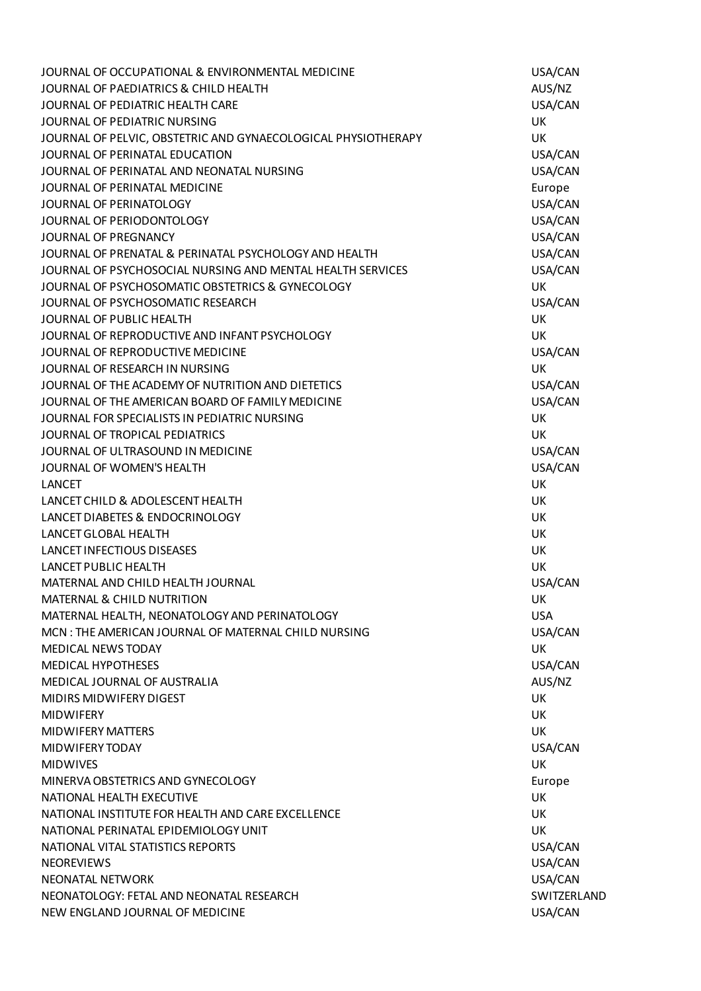| JOURNAL OF OCCUPATIONAL & ENVIRONMENTAL MEDICINE              | USA/CAN       |
|---------------------------------------------------------------|---------------|
| JOURNAL OF PAEDIATRICS & CHILD HEALTH                         | AUS/NZ        |
| JOURNAL OF PEDIATRIC HEALTH CARE                              | USA/CAN       |
| JOURNAL OF PEDIATRIC NURSING                                  | <b>UK</b>     |
| JOURNAL OF PELVIC, OBSTETRIC AND GYNAECOLOGICAL PHYSIOTHERAPY | UK            |
| JOURNAL OF PERINATAL EDUCATION                                | USA/CAN       |
| JOURNAL OF PERINATAL AND NEONATAL NURSING                     | USA/CAN       |
| JOURNAL OF PERINATAL MEDICINE                                 | Europe        |
| JOURNAL OF PERINATOLOGY                                       | USA/CAN       |
| JOURNAL OF PERIODONTOLOGY                                     | USA/CAN       |
| JOURNAL OF PREGNANCY                                          | USA/CAN       |
| JOURNAL OF PRENATAL & PERINATAL PSYCHOLOGY AND HEALTH         | USA/CAN       |
| JOURNAL OF PSYCHOSOCIAL NURSING AND MENTAL HEALTH SERVICES    | USA/CAN       |
| JOURNAL OF PSYCHOSOMATIC OBSTETRICS & GYNECOLOGY              | <b>UK</b>     |
| JOURNAL OF PSYCHOSOMATIC RESEARCH                             | USA/CAN       |
| JOURNAL OF PUBLIC HEALTH                                      | <b>UK</b>     |
| JOURNAL OF REPRODUCTIVE AND INFANT PSYCHOLOGY                 | <b>UK</b>     |
| JOURNAL OF REPRODUCTIVE MEDICINE                              | USA/CAN       |
| JOURNAL OF RESEARCH IN NURSING                                | <b>UK</b>     |
| JOURNAL OF THE ACADEMY OF NUTRITION AND DIETETICS             | USA/CAN       |
| JOURNAL OF THE AMERICAN BOARD OF FAMILY MEDICINE              | USA/CAN       |
| JOURNAL FOR SPECIALISTS IN PEDIATRIC NURSING                  | UK            |
| JOURNAL OF TROPICAL PEDIATRICS                                | UK            |
| JOURNAL OF ULTRASOUND IN MEDICINE                             | USA/CAN       |
| JOURNAL OF WOMEN'S HEALTH                                     | USA/CAN       |
| <b>LANCET</b>                                                 | UK            |
| LANCET CHILD & ADOLESCENT HEALTH                              | UK            |
| LANCET DIABETES & ENDOCRINOLOGY                               | UK            |
| <b>LANCET GLOBAL HEALTH</b>                                   | UK            |
| <b>LANCET INFECTIOUS DISEASES</b>                             | UK            |
| <b>LANCET PUBLIC HEALTH</b>                                   | UK            |
| MATERNAL AND CHILD HEALTH JOURNAL                             | USA/CAN       |
| <b>MATERNAL &amp; CHILD NUTRITION</b>                         | UK            |
| MATERNAL HEALTH, NEONATOLOGY AND PERINATOLOGY                 | <b>USA</b>    |
| MCN: THE AMERICAN JOURNAL OF MATERNAL CHILD NURSING           | USA/CAN       |
| <b>MEDICAL NEWS TODAY</b>                                     | <b>UK</b>     |
| <b>MEDICAL HYPOTHESES</b>                                     | USA/CAN       |
| MEDICAL JOURNAL OF AUSTRALIA                                  | AUS/NZ        |
| <b>MIDIRS MIDWIFERY DIGEST</b>                                | UK            |
| <b>MIDWIFERY</b>                                              | <b>UK</b>     |
| <b>MIDWIFERY MATTERS</b>                                      | <b>UK</b>     |
|                                                               |               |
| MIDWIFERY TODAY                                               | USA/CAN<br>UK |
| <b>MIDWIVES</b>                                               |               |
| MINERVA OBSTETRICS AND GYNECOLOGY                             | Europe        |
| NATIONAL HEALTH EXECUTIVE                                     | UK            |
| NATIONAL INSTITUTE FOR HEALTH AND CARE EXCELLENCE             | UK            |
| NATIONAL PERINATAL EPIDEMIOLOGY UNIT                          | <b>UK</b>     |
| NATIONAL VITAL STATISTICS REPORTS                             | USA/CAN       |
| <b>NEOREVIEWS</b>                                             | USA/CAN       |
| <b>NEONATAL NETWORK</b>                                       | USA/CAN       |
| NEONATOLOGY: FETAL AND NEONATAL RESEARCH                      | SWITZERLAND   |
| NEW ENGLAND JOURNAL OF MEDICINE                               | USA/CAN       |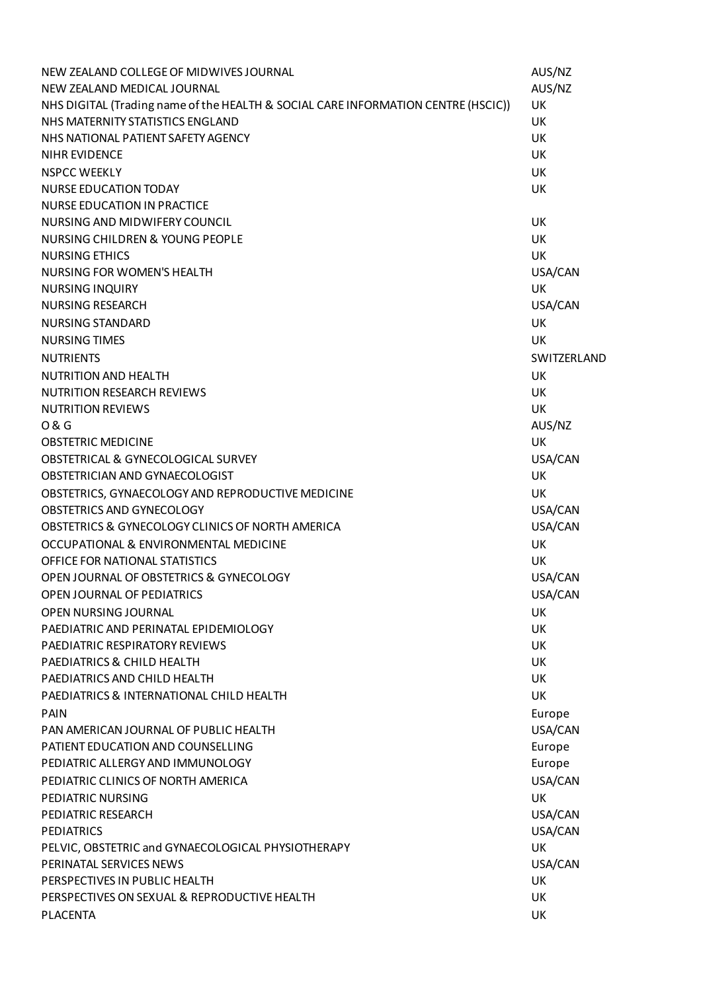| NEW ZEALAND COLLEGE OF MIDWIVES JOURNAL                                           | AUS/NZ      |
|-----------------------------------------------------------------------------------|-------------|
| NEW ZEALAND MEDICAL JOURNAL                                                       | AUS/NZ      |
| NHS DIGITAL (Trading name of the HEALTH & SOCIAL CARE INFORMATION CENTRE (HSCIC)) | UK          |
| NHS MATERNITY STATISTICS ENGLAND                                                  | UK          |
| NHS NATIONAL PATIENT SAFETY AGENCY                                                | UK          |
| NIHR EVIDENCE                                                                     | <b>UK</b>   |
| <b>NSPCC WEEKLY</b>                                                               | UK          |
| <b>NURSE EDUCATION TODAY</b>                                                      | <b>UK</b>   |
| <b>NURSE EDUCATION IN PRACTICE</b>                                                |             |
| NURSING AND MIDWIFERY COUNCIL                                                     | UK          |
| NURSING CHILDREN & YOUNG PEOPLE                                                   | <b>UK</b>   |
| <b>NURSING ETHICS</b>                                                             | UK          |
| NURSING FOR WOMEN'S HEALTH                                                        | USA/CAN     |
| <b>NURSING INQUIRY</b>                                                            | UK          |
| <b>NURSING RESEARCH</b>                                                           | USA/CAN     |
| <b>NURSING STANDARD</b>                                                           | <b>UK</b>   |
| <b>NURSING TIMES</b>                                                              | UK          |
| <b>NUTRIENTS</b>                                                                  | SWITZERLAND |
| <b>NUTRITION AND HEALTH</b>                                                       | UK          |
| <b>NUTRITION RESEARCH REVIEWS</b>                                                 | UK          |
| <b>NUTRITION REVIEWS</b>                                                          | <b>UK</b>   |
| 0 & G                                                                             | AUS/NZ      |
| <b>OBSTETRIC MEDICINE</b>                                                         | UK          |
| OBSTETRICAL & GYNECOLOGICAL SURVEY                                                | USA/CAN     |
| OBSTETRICIAN AND GYNAECOLOGIST                                                    | UK          |
|                                                                                   | UK          |
| OBSTETRICS, GYNAECOLOGY AND REPRODUCTIVE MEDICINE<br>OBSTETRICS AND GYNECOLOGY    |             |
| OBSTETRICS & GYNECOLOGY CLINICS OF NORTH AMERICA                                  | USA/CAN     |
|                                                                                   | USA/CAN     |
| OCCUPATIONAL & ENVIRONMENTAL MEDICINE                                             | UK          |
| OFFICE FOR NATIONAL STATISTICS                                                    | UK          |
| OPEN JOURNAL OF OBSTETRICS & GYNECOLOGY                                           | USA/CAN     |
| OPEN JOURNAL OF PEDIATRICS                                                        | USA/CAN     |
| <b>OPEN NURSING JOURNAL</b>                                                       | UK          |
| PAEDIATRIC AND PERINATAL EPIDEMIOLOGY                                             | UK          |
| PAEDIATRIC RESPIRATORY REVIEWS                                                    | UK          |
| PAEDIATRICS & CHILD HEALTH                                                        | <b>UK</b>   |
| PAEDIATRICS AND CHILD HEALTH                                                      | UK          |
| PAEDIATRICS & INTERNATIONAL CHILD HEALTH                                          | UK          |
| <b>PAIN</b>                                                                       | Europe      |
| PAN AMERICAN JOURNAL OF PUBLIC HEALTH                                             | USA/CAN     |
| PATIENT EDUCATION AND COUNSELLING                                                 | Europe      |
| PEDIATRIC ALLERGY AND IMMUNOLOGY                                                  | Europe      |
| PEDIATRIC CLINICS OF NORTH AMERICA                                                | USA/CAN     |
| PEDIATRIC NURSING                                                                 | UK          |
| PEDIATRIC RESEARCH                                                                | USA/CAN     |
| <b>PEDIATRICS</b>                                                                 | USA/CAN     |
| PELVIC, OBSTETRIC and GYNAECOLOGICAL PHYSIOTHERAPY                                | UK          |
| PERINATAL SERVICES NEWS                                                           | USA/CAN     |
| PERSPECTIVES IN PUBLIC HEALTH                                                     | UK          |
| PERSPECTIVES ON SEXUAL & REPRODUCTIVE HEALTH                                      | UK          |
| <b>PLACENTA</b>                                                                   | UK          |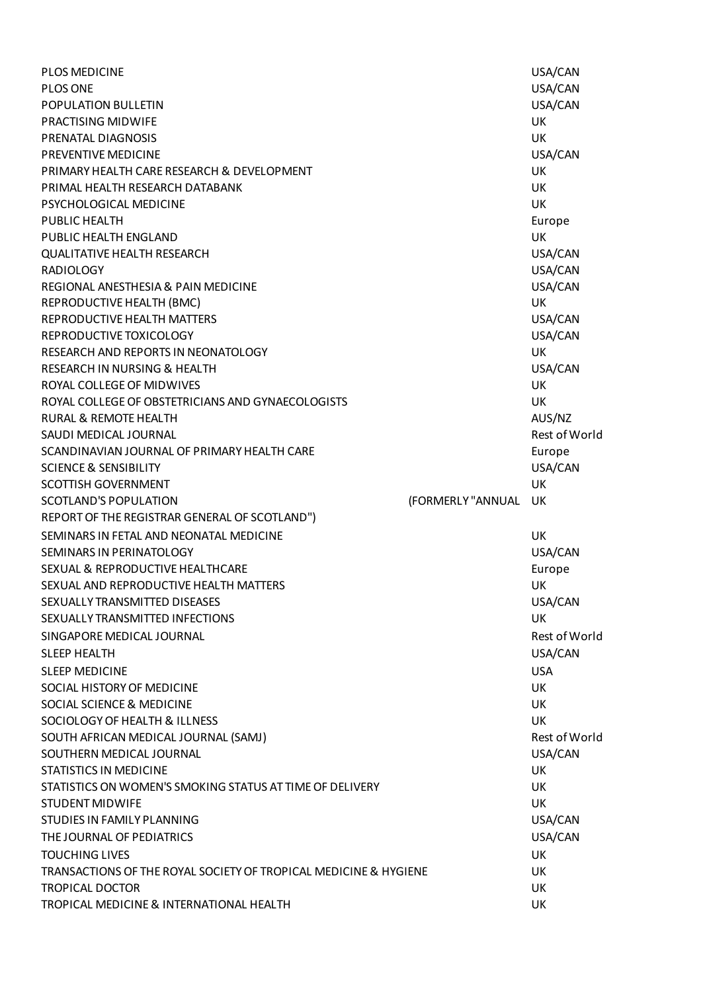| <b>PLOS MEDICINE</b>                                             |                   | USA/CAN       |
|------------------------------------------------------------------|-------------------|---------------|
| PLOS ONE                                                         |                   | USA/CAN       |
| POPULATION BULLETIN                                              |                   | USA/CAN       |
| PRACTISING MIDWIFE                                               |                   | <b>UK</b>     |
| PRENATAL DIAGNOSIS                                               |                   | UK            |
| PREVENTIVE MEDICINE                                              |                   | USA/CAN       |
| PRIMARY HEALTH CARE RESEARCH & DEVELOPMENT                       |                   | <b>UK</b>     |
| PRIMAL HEALTH RESEARCH DATABANK                                  |                   | UK            |
| PSYCHOLOGICAL MEDICINE                                           |                   | <b>UK</b>     |
| PUBLIC HEALTH                                                    |                   | Europe        |
| PUBLIC HEALTH ENGLAND                                            |                   | UK            |
| <b>QUALITATIVE HEALTH RESEARCH</b>                               |                   | USA/CAN       |
| <b>RADIOLOGY</b>                                                 |                   | USA/CAN       |
| REGIONAL ANESTHESIA & PAIN MEDICINE                              |                   | USA/CAN       |
| REPRODUCTIVE HEALTH (BMC)                                        |                   | UK            |
| REPRODUCTIVE HEALTH MATTERS                                      |                   | USA/CAN       |
| REPRODUCTIVE TOXICOLOGY                                          |                   | USA/CAN       |
| RESEARCH AND REPORTS IN NEONATOLOGY                              |                   | <b>UK</b>     |
| RESEARCH IN NURSING & HEALTH                                     |                   | USA/CAN       |
| ROYAL COLLEGE OF MIDWIVES                                        |                   | UK            |
| ROYAL COLLEGE OF OBSTETRICIANS AND GYNAECOLOGISTS                |                   | <b>UK</b>     |
| <b>RURAL &amp; REMOTE HEALTH</b>                                 |                   | AUS/NZ        |
| SAUDI MEDICAL JOURNAL                                            |                   | Rest of World |
| SCANDINAVIAN JOURNAL OF PRIMARY HEALTH CARE                      |                   | Europe        |
| <b>SCIENCE &amp; SENSIBILITY</b>                                 |                   | USA/CAN       |
| <b>SCOTTISH GOVERNMENT</b>                                       |                   | UK            |
| <b>SCOTLAND'S POPULATION</b>                                     | (FORMERLY "ANNUAL | UK            |
| REPORT OF THE REGISTRAR GENERAL OF SCOTLAND")                    |                   |               |
| SEMINARS IN FETAL AND NEONATAL MEDICINE                          |                   | UK            |
| SEMINARS IN PERINATOLOGY                                         |                   | USA/CAN       |
| SEXUAL & REPRODUCTIVE HEALTHCARE                                 |                   | Europe        |
| SEXUAL AND REPRODUCTIVE HEALTH MATTERS                           |                   | UK            |
| SEXUALLY TRANSMITTED DISEASES                                    |                   | USA/CAN       |
| SEXUALLY TRANSMITTED INFECTIONS                                  |                   | <b>UK</b>     |
| SINGAPORE MEDICAL JOURNAL                                        |                   | Rest of World |
| <b>SLEEP HEALTH</b>                                              |                   | USA/CAN       |
| <b>SLEEP MEDICINE</b>                                            |                   | <b>USA</b>    |
| SOCIAL HISTORY OF MEDICINE                                       |                   | <b>UK</b>     |
| SOCIAL SCIENCE & MEDICINE                                        |                   | UK            |
| SOCIOLOGY OF HEALTH & ILLNESS                                    |                   | UK            |
| SOUTH AFRICAN MEDICAL JOURNAL (SAMJ)                             |                   | Rest of World |
| SOUTHERN MEDICAL JOURNAL                                         |                   | USA/CAN       |
| <b>STATISTICS IN MEDICINE</b>                                    |                   | <b>UK</b>     |
| STATISTICS ON WOMEN'S SMOKING STATUS AT TIME OF DELIVERY         |                   | UK            |
| <b>STUDENT MIDWIFE</b>                                           |                   | <b>UK</b>     |
| STUDIES IN FAMILY PLANNING                                       |                   | USA/CAN       |
| THE JOURNAL OF PEDIATRICS                                        |                   | USA/CAN       |
| <b>TOUCHING LIVES</b>                                            |                   | <b>UK</b>     |
| TRANSACTIONS OF THE ROYAL SOCIETY OF TROPICAL MEDICINE & HYGIENE |                   | UK            |
| <b>TROPICAL DOCTOR</b>                                           |                   | <b>UK</b>     |
| TROPICAL MEDICINE & INTERNATIONAL HEALTH                         |                   | UK            |
|                                                                  |                   |               |